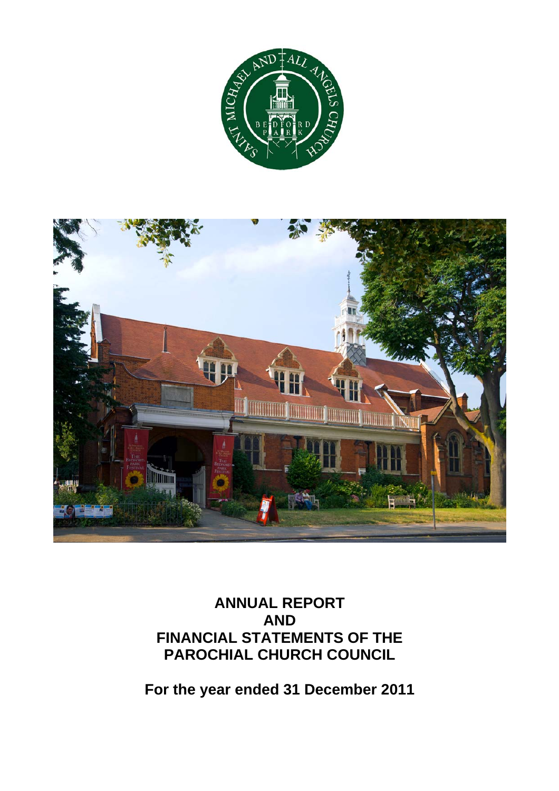



# **ANNUAL REPORT AND FINANCIAL STATEMENTS OF THE PAROCHIAL CHURCH COUNCIL**

**For the year ended 31 December 2011**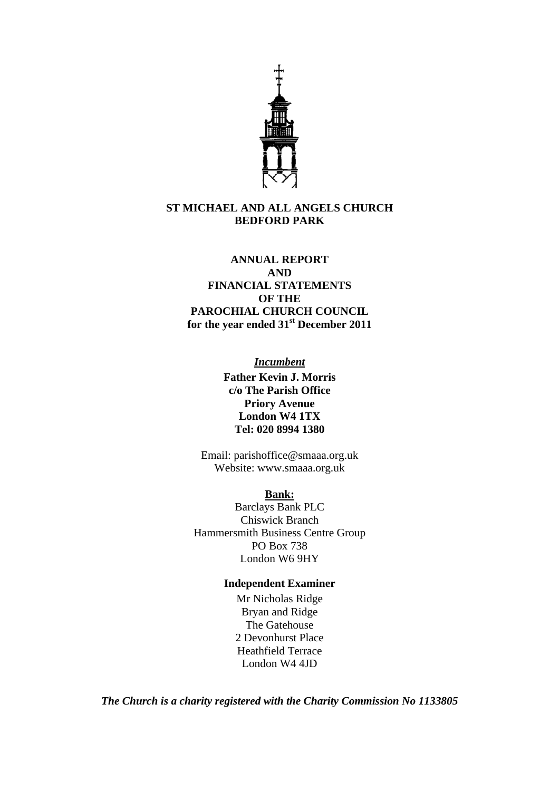

#### **ST MICHAEL AND ALL ANGELS CHURCH BEDFORD PARK**

#### **ANNUAL REPORT AND**

**FINANCIAL STATEMENTS OF THE PAROCHIAL CHURCH COUNCIL for the year ended 31st December 2011** 

*Incumbent*

**Father Kevin J. Morris c/o The Parish Office Priory Avenue London W4 1TX Tel: 020 8994 1380** 

Email: parishoffice@smaaa.org.uk Website: www.smaaa.org.uk

#### **Bank:**

Barclays Bank PLC Chiswick Branch Hammersmith Business Centre Group PO Box 738 London W6 9HY

#### **Independent Examiner**

Mr Nicholas Ridge Bryan and Ridge The Gatehouse 2 Devonhurst Place Heathfield Terrace London W4 4JD

*The Church is a charity registered with the Charity Commission No 1133805*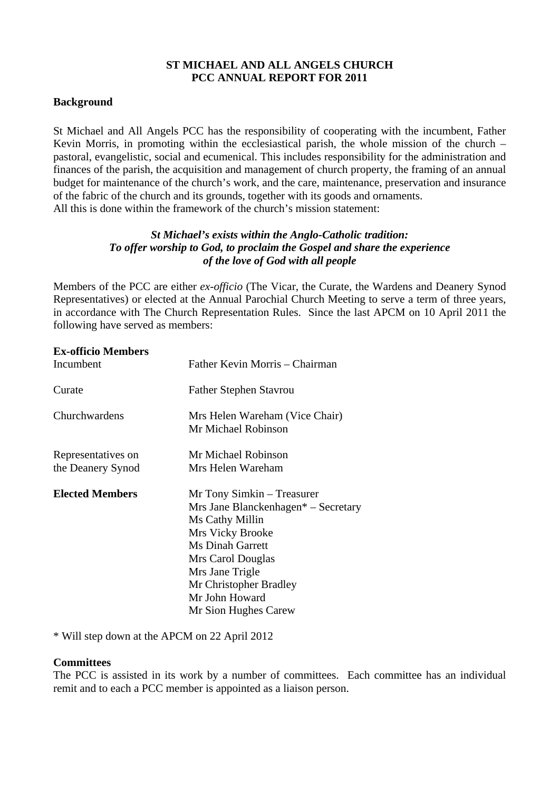#### **ST MICHAEL AND ALL ANGELS CHURCH PCC ANNUAL REPORT FOR 2011**

#### **Background**

St Michael and All Angels PCC has the responsibility of cooperating with the incumbent, Father Kevin Morris, in promoting within the ecclesiastical parish, the whole mission of the church – pastoral, evangelistic, social and ecumenical. This includes responsibility for the administration and finances of the parish, the acquisition and management of church property, the framing of an annual budget for maintenance of the church's work, and the care, maintenance, preservation and insurance of the fabric of the church and its grounds, together with its goods and ornaments. All this is done within the framework of the church's mission statement:

#### *St Michael's exists within the Anglo-Catholic tradition: To offer worship to God, to proclaim the Gospel and share the experience of the love of God with all people*

Members of the PCC are either *ex-officio* (The Vicar, the Curate, the Wardens and Deanery Synod Representatives) or elected at the Annual Parochial Church Meeting to serve a term of three years, in accordance with The Church Representation Rules. Since the last APCM on 10 April 2011 the following have served as members:

| <b>Ex-officio Members</b> |                                                                                                                                                                                                                         |
|---------------------------|-------------------------------------------------------------------------------------------------------------------------------------------------------------------------------------------------------------------------|
| Incumbent                 | Father Kevin Morris – Chairman                                                                                                                                                                                          |
| Curate                    | <b>Father Stephen Stavrou</b>                                                                                                                                                                                           |
| Churchwardens             | Mrs Helen Wareham (Vice Chair)<br>Mr Michael Robinson                                                                                                                                                                   |
| Representatives on        | Mr Michael Robinson                                                                                                                                                                                                     |
| the Deanery Synod         | Mrs Helen Wareham                                                                                                                                                                                                       |
| <b>Elected Members</b>    | Mr Tony Simkin – Treasurer<br>Mrs Jane Blanckenhagen* – Secretary<br>Ms Cathy Millin<br>Mrs Vicky Brooke<br><b>Ms Dinah Garrett</b><br>Mrs Carol Douglas<br>Mrs Jane Trigle<br>Mr Christopher Bradley<br>Mr John Howard |
|                           | Mr Sion Hughes Carew                                                                                                                                                                                                    |

\* Will step down at the APCM on 22 April 2012

#### **Committees**

The PCC is assisted in its work by a number of committees. Each committee has an individual remit and to each a PCC member is appointed as a liaison person.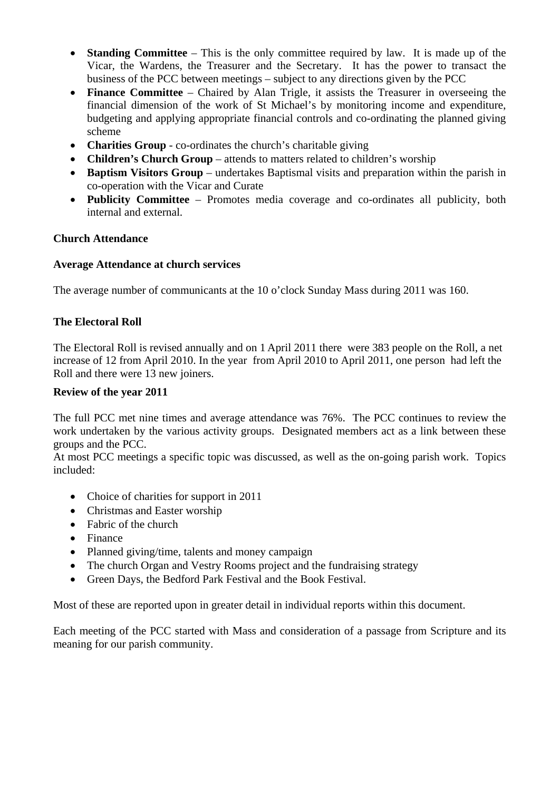- **Standing Committee** This is the only committee required by law. It is made up of the Vicar, the Wardens, the Treasurer and the Secretary. It has the power to transact the business of the PCC between meetings – subject to any directions given by the PCC
- **Finance Committee** Chaired by Alan Trigle, it assists the Treasurer in overseeing the financial dimension of the work of St Michael's by monitoring income and expenditure, budgeting and applying appropriate financial controls and co-ordinating the planned giving scheme
- **Charities Group** co-ordinates the church's charitable giving
- **Children's Church Group** attends to matters related to children's worship
- **Baptism Visitors Group** undertakes Baptismal visits and preparation within the parish in co-operation with the Vicar and Curate
- **Publicity Committee** Promotes media coverage and co-ordinates all publicity, both internal and external.

#### **Church Attendance**

#### **Average Attendance at church services**

The average number of communicants at the 10 o'clock Sunday Mass during 2011 was 160.

#### **The Electoral Roll**

The Electoral Roll is revised annually and on 1 April 2011 there were 383 people on the Roll, a net increase of 12 from April 2010. In the year from April 2010 to April 2011, one person had left the Roll and there were 13 new joiners.

#### **Review of the year 2011**

The full PCC met nine times and average attendance was 76%. The PCC continues to review the work undertaken by the various activity groups. Designated members act as a link between these groups and the PCC.

At most PCC meetings a specific topic was discussed, as well as the on-going parish work. Topics included:

- Choice of charities for support in 2011
- Christmas and Easter worship
- Fabric of the church
- Finance
- Planned giving/time, talents and money campaign
- The church Organ and Vestry Rooms project and the fundraising strategy
- Green Days, the Bedford Park Festival and the Book Festival.

Most of these are reported upon in greater detail in individual reports within this document.

Each meeting of the PCC started with Mass and consideration of a passage from Scripture and its meaning for our parish community.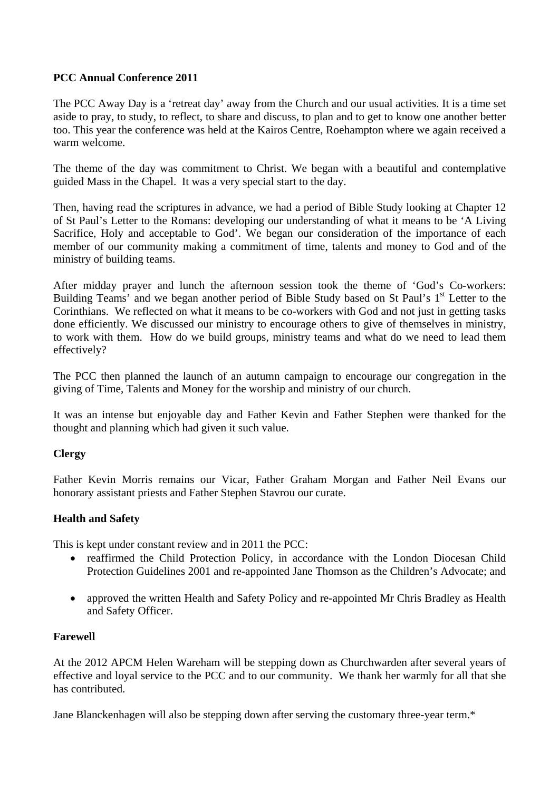#### **PCC Annual Conference 2011**

The PCC Away Day is a 'retreat day' away from the Church and our usual activities. It is a time set aside to pray, to study, to reflect, to share and discuss, to plan and to get to know one another better too. This year the conference was held at the Kairos Centre, Roehampton where we again received a warm welcome.

The theme of the day was commitment to Christ. We began with a beautiful and contemplative guided Mass in the Chapel. It was a very special start to the day.

Then, having read the scriptures in advance, we had a period of Bible Study looking at Chapter 12 of St Paul's Letter to the Romans: developing our understanding of what it means to be 'A Living Sacrifice, Holy and acceptable to God'. We began our consideration of the importance of each member of our community making a commitment of time, talents and money to God and of the ministry of building teams.

After midday prayer and lunch the afternoon session took the theme of 'God's Co-workers: Building Teams' and we began another period of Bible Study based on St Paul's 1<sup>st</sup> Letter to the Corinthians. We reflected on what it means to be co-workers with God and not just in getting tasks done efficiently. We discussed our ministry to encourage others to give of themselves in ministry, to work with them. How do we build groups, ministry teams and what do we need to lead them effectively?

The PCC then planned the launch of an autumn campaign to encourage our congregation in the giving of Time, Talents and Money for the worship and ministry of our church.

It was an intense but enjoyable day and Father Kevin and Father Stephen were thanked for the thought and planning which had given it such value.

#### **Clergy**

Father Kevin Morris remains our Vicar, Father Graham Morgan and Father Neil Evans our honorary assistant priests and Father Stephen Stavrou our curate.

#### **Health and Safety**

This is kept under constant review and in 2011 the PCC:

- reaffirmed the Child Protection Policy, in accordance with the London Diocesan Child Protection Guidelines 2001 and re-appointed Jane Thomson as the Children's Advocate; and
- approved the written Health and Safety Policy and re-appointed Mr Chris Bradley as Health and Safety Officer.

#### **Farewell**

At the 2012 APCM Helen Wareham will be stepping down as Churchwarden after several years of effective and loyal service to the PCC and to our community. We thank her warmly for all that she has contributed.

Jane Blanckenhagen will also be stepping down after serving the customary three-year term.\*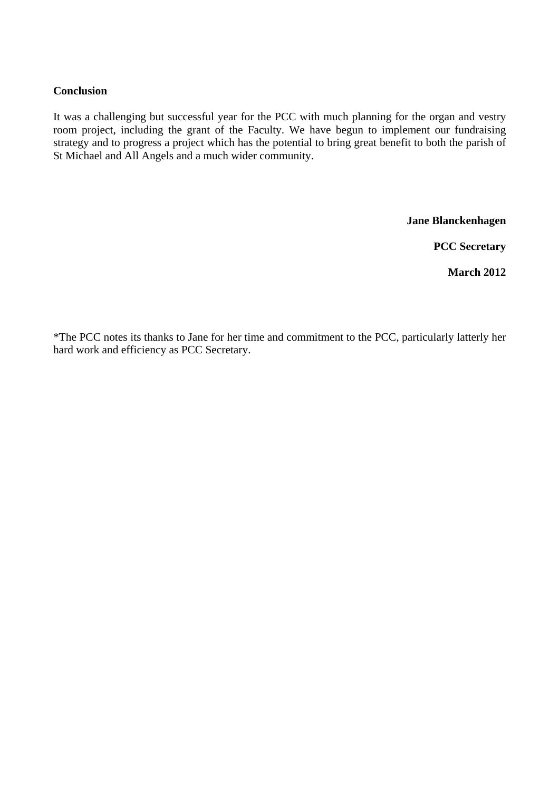#### **Conclusion**

It was a challenging but successful year for the PCC with much planning for the organ and vestry room project, including the grant of the Faculty. We have begun to implement our fundraising strategy and to progress a project which has the potential to bring great benefit to both the parish of St Michael and All Angels and a much wider community.

**Jane Blanckenhagen** 

**PCC Secretary** 

**March 2012** 

\*The PCC notes its thanks to Jane for her time and commitment to the PCC, particularly latterly her hard work and efficiency as PCC Secretary.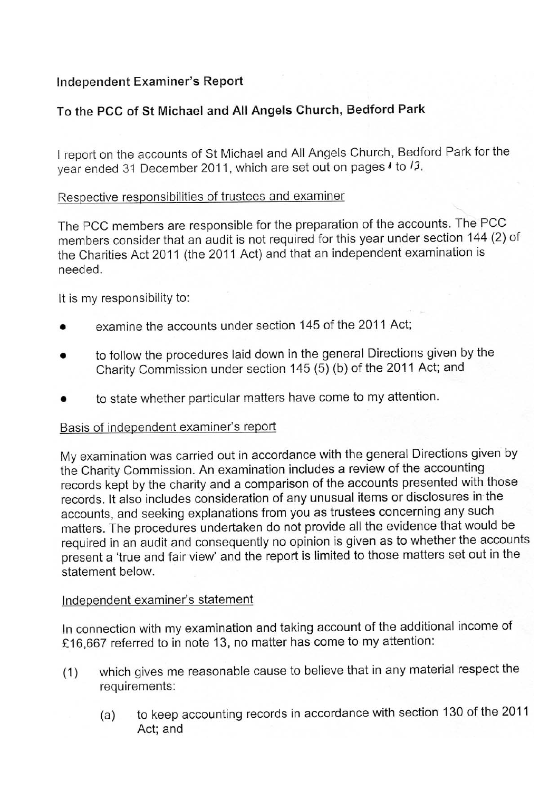### Independent Examiner's Report

### To the PCC of St Michael and All Angels Church, Bedford Park

I report on the accounts of St Michael and All Angels Church, Bedford Park for the year ended 31 December 2011, which are set out on pages I to /3.

### Respective responsibilities of trustees and examiner

The PCC members are responsible for the preparation of the accounts. The PCC members consider that an audit is not required for this year under section 144 (2) of the Charities Act 2011 (the 2011 Act) and that an independent examination is needed

It is my responsibility to:

- examine the accounts under section 145 of the 2011 Act:
- to follow the procedures laid down in the general Directions given by the Charity Commission under section 145 (5) (b) of the 2011 Act; and
- to state whether particular matters have come to my attention.

### Basis of independent examiner's report

My examination was carried out in accordance with the general Directions given by the Charity Commission. An examination includes a review of the accounting records kept by the charity and a comparison of the accounts presented with those records. It also includes consideration of any unusual items or disclosures in the accounts, and seeking explanations from you as trustees concerning any such matters. The procedures undertaken do not provide all the evidence that would be required in an audit and consequently no opinion is given as to whether the accounts present a 'true and fair view' and the report is limited to those matters set out in the statement below.

### Independent examiner's statement

In connection with my examination and taking account of the additional income of £16,667 referred to in note 13, no matter has come to my attention:

- which gives me reasonable cause to believe that in any material respect the  $(1)$ requirements:
	- to keep accounting records in accordance with section 130 of the 2011  $(a)$ Act; and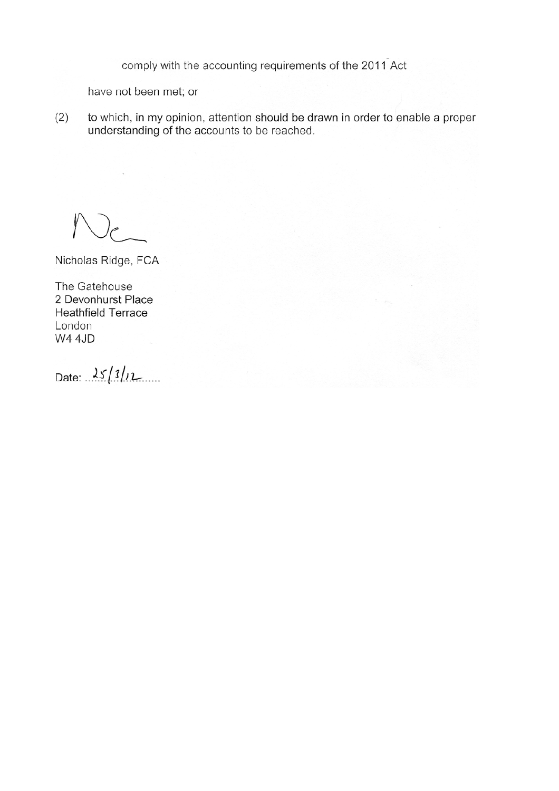comply with the accounting requirements of the 2011 Act

have not been met; or

to which, in my opinion, attention should be drawn in order to enable a proper  $(2)$ understanding of the accounts to be reached.

Nicholas Ridge, FCA

The Gatehouse 2 Devonhurst Place **Heathfield Terrace** London **W4 4JD** 

Date:  $25/3/12$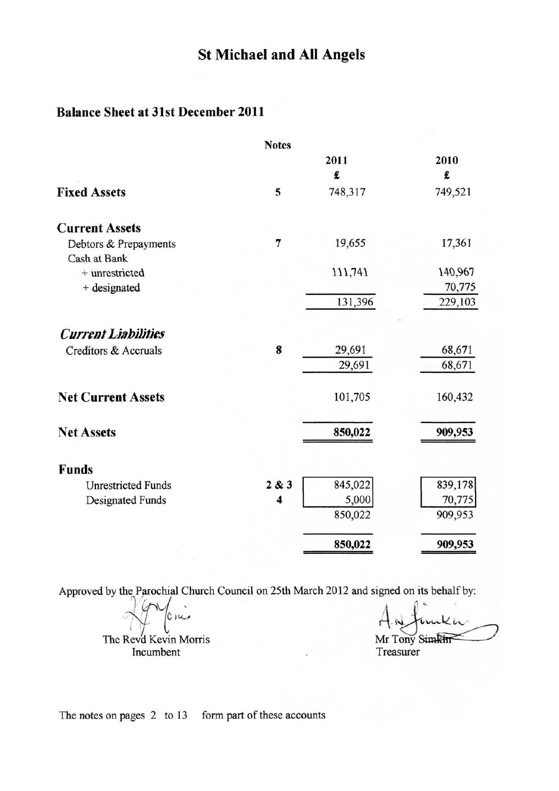## **Balance Sheet at 31st December 2011**

|                                       | <b>Notes</b>            |         |         |
|---------------------------------------|-------------------------|---------|---------|
|                                       |                         | 2011    | 2010    |
|                                       |                         | £       | £       |
| <b>Fixed Assets</b>                   | 5                       | 748,317 | 749,521 |
| <b>Current Assets</b>                 |                         |         |         |
| Debtors & Prepayments<br>Cash at Bank | $\overline{7}$          | 19,655  | 17,361  |
| + unrestricted                        |                         | 111,741 | 140,967 |
| + designated                          |                         |         | 70,775  |
|                                       |                         | 131,396 | 229,103 |
| <b>Current Liabilities</b>            |                         |         |         |
| Creditors & Accruals                  | 8                       | 29,691  | 68,671  |
|                                       |                         | 29,691  | 68,671  |
| <b>Net Current Assets</b>             |                         | 101,705 | 160,432 |
| <b>Net Assets</b>                     |                         | 850,022 | 909,953 |
| <b>Funds</b>                          |                         |         |         |
| <b>Unrestricted Funds</b>             | 2 & 3                   | 845,022 | 839,178 |
| Designated Funds                      | $\overline{\mathbf{4}}$ | 5,000   | 70,775  |
|                                       |                         | 850,022 | 909,953 |
|                                       |                         | 850,022 | 909,953 |

Approved by the Parochial Church Council on 25th March 2012 and signed on its behalf by:

 $cm<sub>2</sub>$ 

The Revd Kevin Morris Incumbent

Mr Tony Simkin Treasurer

The notes on pages 2 to 13 form part of these accounts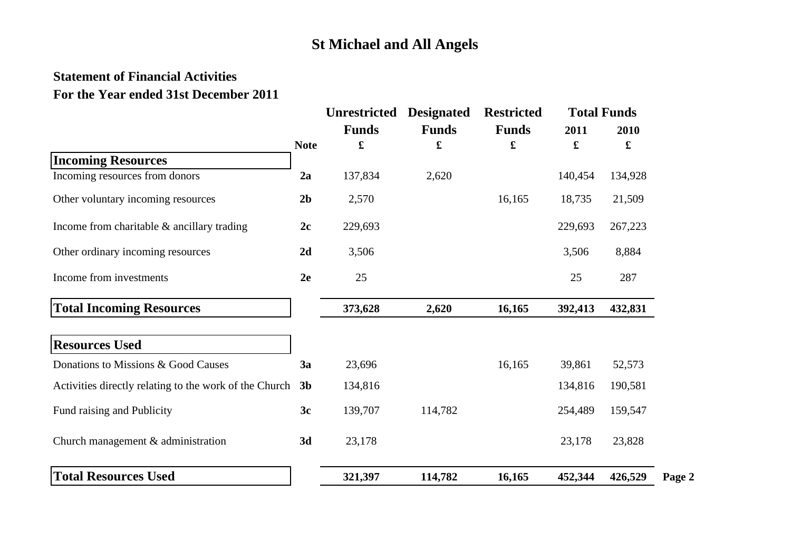### **Statement of Financial Activities For the Year ended 31st December 2011**

|                                                        | <b>Note</b>    | <b>Unrestricted</b> | <b>Designated</b> | <b>Restricted</b> |           | <b>Total Funds</b>           |        |
|--------------------------------------------------------|----------------|---------------------|-------------------|-------------------|-----------|------------------------------|--------|
|                                                        |                | <b>Funds</b><br>£   | <b>Funds</b><br>£ | <b>Funds</b><br>£ | 2011<br>£ | 2010<br>$\pmb{\mathfrak{L}}$ |        |
| <b>Incoming Resources</b>                              |                |                     |                   |                   |           |                              |        |
| Incoming resources from donors                         | 2a             | 137,834             | 2,620             |                   | 140,454   | 134,928                      |        |
| Other voluntary incoming resources                     | 2 <sub>b</sub> | 2,570               |                   | 16,165            | 18,735    | 21,509                       |        |
| Income from charitable $&$ ancillary trading           | 2c             | 229,693             |                   |                   | 229,693   | 267,223                      |        |
| Other ordinary incoming resources                      | 2d             | 3,506               |                   |                   | 3,506     | 8,884                        |        |
| Income from investments                                | 2e             | 25                  |                   |                   | 25        | 287                          |        |
| <b>Total Incoming Resources</b>                        |                | 373,628             | 2,620             | 16,165            | 392,413   | 432,831                      |        |
| <b>Resources Used</b>                                  |                |                     |                   |                   |           |                              |        |
| Donations to Missions & Good Causes                    | 3a             | 23,696              |                   | 16,165            | 39,861    | 52,573                       |        |
| Activities directly relating to the work of the Church | 3 <sub>b</sub> | 134,816             |                   |                   | 134,816   | 190,581                      |        |
| Fund raising and Publicity                             | 3c             | 139,707             | 114,782           |                   | 254,489   | 159,547                      |        |
| Church management & administration                     | 3d             | 23,178              |                   |                   | 23,178    | 23,828                       |        |
| <b>Total Resources Used</b>                            |                | 321,397             | 114,782           | 16,165            | 452,344   | 426,529                      | Page 2 |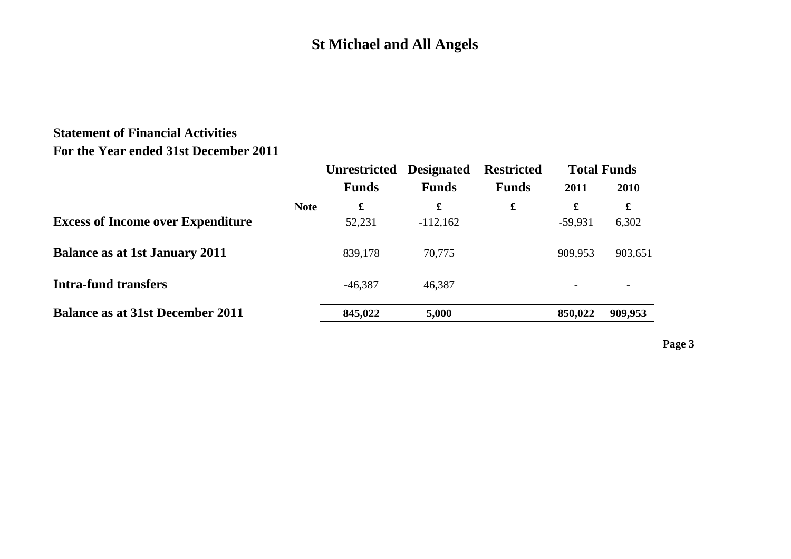### **Statement of Financial Activities For the Year ended 31st December 2011**

|                                          | <b>Unrestricted</b>        | <b>Designated</b> | <b>Restricted</b> |                | <b>Total Funds</b> |
|------------------------------------------|----------------------------|-------------------|-------------------|----------------|--------------------|
|                                          | <b>Funds</b>               | <b>Funds</b>      | <b>Funds</b>      | 2011           | 2010               |
| <b>Excess of Income over Expenditure</b> | <b>Note</b><br>£<br>52,231 | £<br>$-112,162$   | $\mathbf f$       | £<br>$-59,931$ | £<br>6,302         |
| <b>Balance as at 1st January 2011</b>    | 839,178                    | 70,775            |                   | 909,953        | 903,651            |
| <b>Intra-fund transfers</b>              | $-46,387$                  | 46,387            |                   |                |                    |
| <b>Balance as at 31st December 2011</b>  | 845,022                    | 5,000             |                   | 850,022        | 909,953            |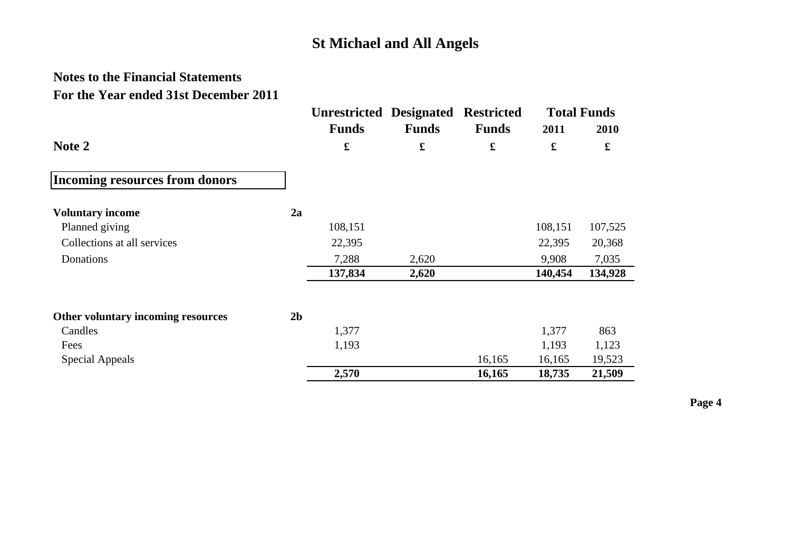## **Notes to the Financial Statements For the Year ended 31st December 2011**

|                                       |                | <b>Unrestricted Designated</b> |                    | <b>Restricted</b> |                      | <b>Total Funds</b> |
|---------------------------------------|----------------|--------------------------------|--------------------|-------------------|----------------------|--------------------|
|                                       |                | <b>Funds</b>                   | <b>Funds</b>       | <b>Funds</b>      | 2011                 | 2010               |
| Note 2                                |                | $\pmb{\mathfrak{L}}$           | $\pmb{\mathbf{f}}$ | £                 | $\pmb{\mathfrak{L}}$ | £                  |
| <b>Incoming resources from donors</b> |                |                                |                    |                   |                      |                    |
| <b>Voluntary income</b>               | 2a             |                                |                    |                   |                      |                    |
| Planned giving                        |                | 108,151                        |                    |                   | 108,151              | 107,525            |
| Collections at all services           |                | 22,395                         |                    |                   | 22,395               | 20,368             |
| Donations                             |                | 7,288                          | 2,620              |                   | 9,908                | 7,035              |
|                                       |                | 137,834                        | 2,620              |                   | 140,454              | 134,928            |
| Other voluntary incoming resources    | 2 <sub>b</sub> |                                |                    |                   |                      |                    |
| Candles                               |                | 1,377                          |                    |                   | 1,377                | 863                |
| Fees                                  |                | 1,193                          |                    |                   | 1,193                | 1,123              |
| Special Appeals                       |                |                                |                    | 16,165            | 16,165               | 19,523             |
|                                       |                | 2,570                          |                    | 16,165            | 18,735               | 21,509             |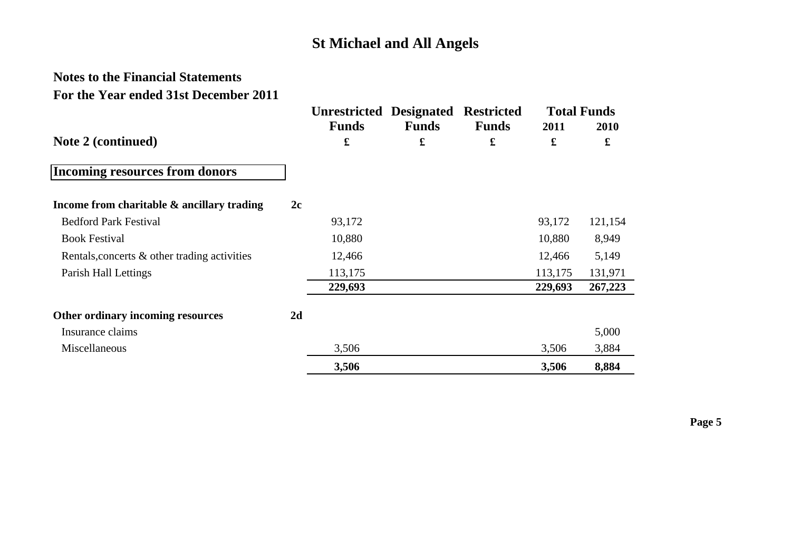## **Notes to the Financial Statements For the Year ended 31st December 2011**

|                                              |    | <b>Unrestricted Designated Restricted</b> |              |              |         | <b>Total Funds</b> |
|----------------------------------------------|----|-------------------------------------------|--------------|--------------|---------|--------------------|
|                                              |    | <b>Funds</b>                              | <b>Funds</b> | <b>Funds</b> | 2011    | 2010               |
| Note 2 (continued)                           |    | £                                         | £            | £            | £       | £                  |
| <b>Incoming resources from donors</b>        |    |                                           |              |              |         |                    |
| Income from charitable & ancillary trading   | 2c |                                           |              |              |         |                    |
| <b>Bedford Park Festival</b>                 |    | 93,172                                    |              |              | 93,172  | 121,154            |
| <b>Book Festival</b>                         |    | 10,880                                    |              |              | 10,880  | 8,949              |
| Rentals, concerts & other trading activities |    | 12,466                                    |              |              | 12,466  | 5,149              |
| Parish Hall Lettings                         |    | 113,175                                   |              |              | 113,175 | 131,971            |
|                                              |    | 229,693                                   |              |              | 229,693 | 267,223            |
| Other ordinary incoming resources            | 2d |                                           |              |              |         |                    |
| Insurance claims                             |    |                                           |              |              |         | 5,000              |
| Miscellaneous                                |    | 3,506                                     |              |              | 3,506   | 3,884              |
|                                              |    | 3,506                                     |              |              | 3,506   | 8,884              |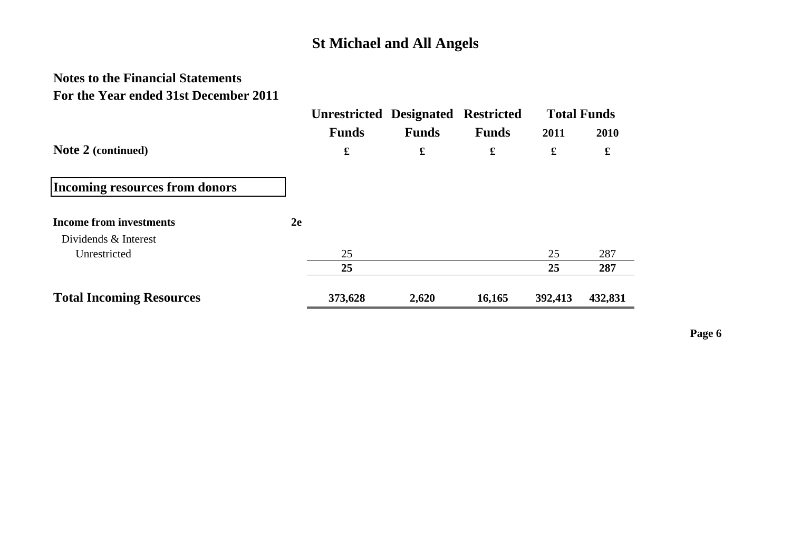## **Notes to the Financial Statements For the Year ended 31st December 2011**

|                                       |              | <b>Unrestricted Designated Restricted</b> |              |         | <b>Total Funds</b> |
|---------------------------------------|--------------|-------------------------------------------|--------------|---------|--------------------|
|                                       | <b>Funds</b> | <b>Funds</b>                              | <b>Funds</b> | 2011    | 2010               |
| Note 2 (continued)                    | £            | £                                         | £            | £       | £                  |
| <b>Incoming resources from donors</b> |              |                                           |              |         |                    |
| <b>Income from investments</b>        | 2e           |                                           |              |         |                    |
| Dividends & Interest                  |              |                                           |              |         |                    |
| Unrestricted                          | 25           |                                           |              | 25      | 287                |
|                                       | 25           |                                           |              | 25      | 287                |
| <b>Total Incoming Resources</b>       | 373,628      | 2,620                                     | 16,165       | 392,413 | 432,831            |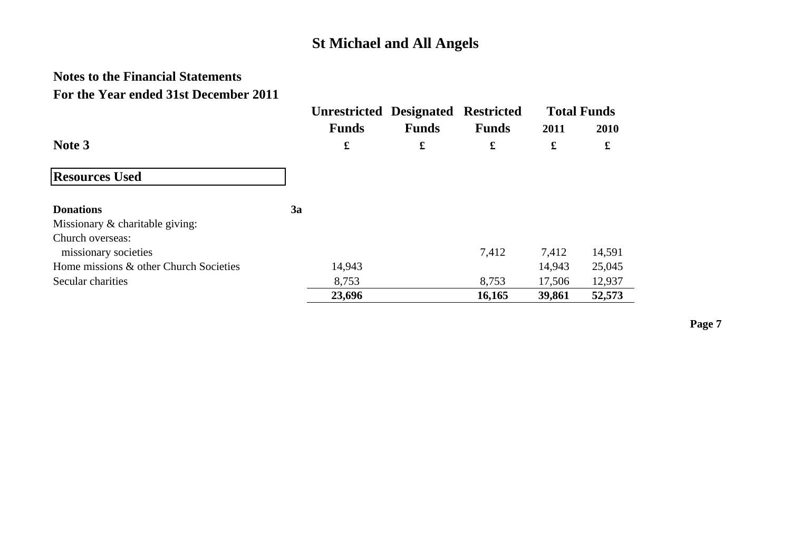## **Notes to the Financial Statements For the Year ended 31st December 2011**

|                                        |    | <b>Unrestricted Designated Restricted</b> |              |              |        | <b>Total Funds</b> |
|----------------------------------------|----|-------------------------------------------|--------------|--------------|--------|--------------------|
|                                        |    | <b>Funds</b>                              | <b>Funds</b> | <b>Funds</b> | 2011   | 2010               |
| Note 3                                 |    | £                                         | £            | £            | £      | £                  |
| <b>Resources Used</b>                  |    |                                           |              |              |        |                    |
| <b>Donations</b>                       | 3a |                                           |              |              |        |                    |
| Missionary & charitable giving:        |    |                                           |              |              |        |                    |
| Church overseas:                       |    |                                           |              |              |        |                    |
| missionary societies                   |    |                                           |              | 7,412        | 7,412  | 14,591             |
| Home missions & other Church Societies |    | 14,943                                    |              |              | 14,943 | 25,045             |
| Secular charities                      |    | 8,753                                     |              | 8,753        | 17,506 | 12,937             |
|                                        |    | 23,696                                    |              | 16,165       | 39,861 | 52,573             |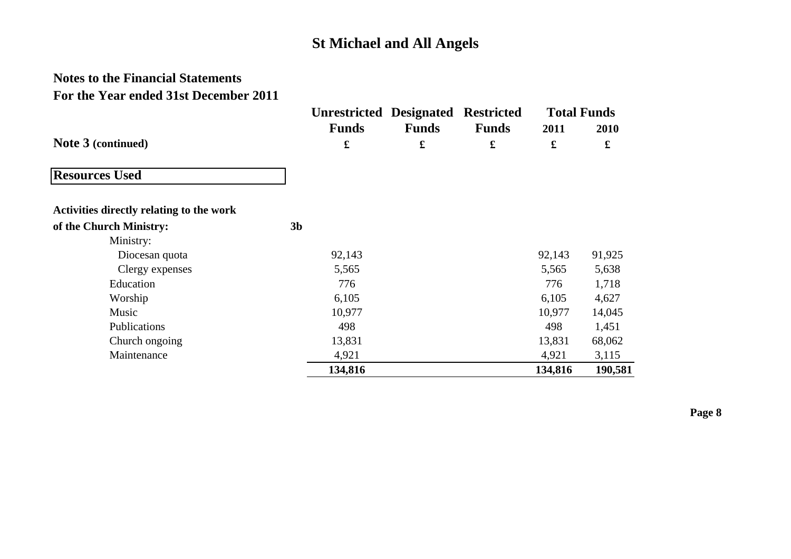## **Notes to the Financial Statements For the Year ended 31st December 2011**

|                                          | <b>Unrestricted Designated</b> |              | <b>Restricted</b> |         | <b>Total Funds</b> |
|------------------------------------------|--------------------------------|--------------|-------------------|---------|--------------------|
|                                          | <b>Funds</b>                   | <b>Funds</b> | <b>Funds</b>      | 2011    | 2010               |
| Note 3 (continued)                       | $\mathbf f$                    | $\mathbf f$  | £                 | £       | £                  |
| <b>Resources Used</b>                    |                                |              |                   |         |                    |
| Activities directly relating to the work |                                |              |                   |         |                    |
| of the Church Ministry:                  | 3 <sub>b</sub>                 |              |                   |         |                    |
| Ministry:                                |                                |              |                   |         |                    |
| Diocesan quota                           | 92,143                         |              |                   | 92,143  | 91,925             |
| Clergy expenses                          | 5,565                          |              |                   | 5,565   | 5,638              |
| Education                                | 776                            |              |                   | 776     | 1,718              |
| Worship                                  | 6,105                          |              |                   | 6,105   | 4,627              |
| Music                                    | 10,977                         |              |                   | 10,977  | 14,045             |
| Publications                             | 498                            |              |                   | 498     | 1,451              |
| Church ongoing                           | 13,831                         |              |                   | 13,831  | 68,062             |
| Maintenance                              | 4,921                          |              |                   | 4,921   | 3,115              |
|                                          | 134,816                        |              |                   | 134,816 | 190,581            |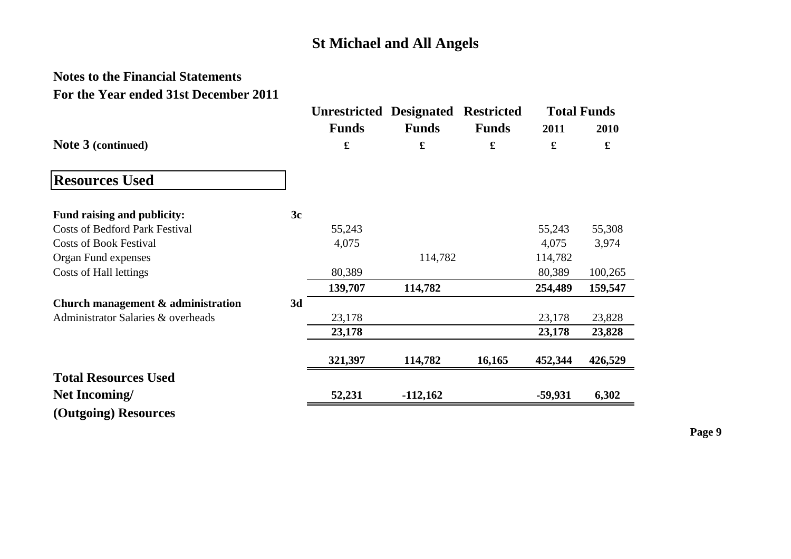## **Notes to the Financial Statements For the Year ended 31st December 2011**

|                                       |    | <b>Unrestricted Designated</b> |              | <b>Restricted</b> |             | <b>Total Funds</b> |
|---------------------------------------|----|--------------------------------|--------------|-------------------|-------------|--------------------|
|                                       |    | <b>Funds</b>                   | <b>Funds</b> | <b>Funds</b>      | 2011        | 2010               |
| Note 3 (continued)                    |    | £                              | $\mathbf f$  | £                 | $\mathbf f$ | £                  |
| <b>Resources Used</b>                 |    |                                |              |                   |             |                    |
| Fund raising and publicity:           | 3c |                                |              |                   |             |                    |
| <b>Costs of Bedford Park Festival</b> |    | 55,243                         |              |                   | 55,243      | 55,308             |
| <b>Costs of Book Festival</b>         |    | 4,075                          |              |                   | 4,075       | 3,974              |
| Organ Fund expenses                   |    |                                | 114,782      |                   | 114,782     |                    |
| Costs of Hall lettings                |    | 80,389                         |              |                   | 80,389      | 100,265            |
|                                       |    | 139,707                        | 114,782      |                   | 254,489     | 159,547            |
| Church management & administration    | 3d |                                |              |                   |             |                    |
| Administrator Salaries & overheads    |    | 23,178                         |              |                   | 23,178      | 23,828             |
|                                       |    | 23,178                         |              |                   | 23,178      | 23,828             |
|                                       |    | 321,397                        | 114,782      | 16,165            | 452,344     | 426,529            |
| <b>Total Resources Used</b>           |    |                                |              |                   |             |                    |
| Net Incoming/                         |    | 52,231                         | $-112,162$   |                   | $-59,931$   | 6,302              |
| (Outgoing) Resources                  |    |                                |              |                   |             |                    |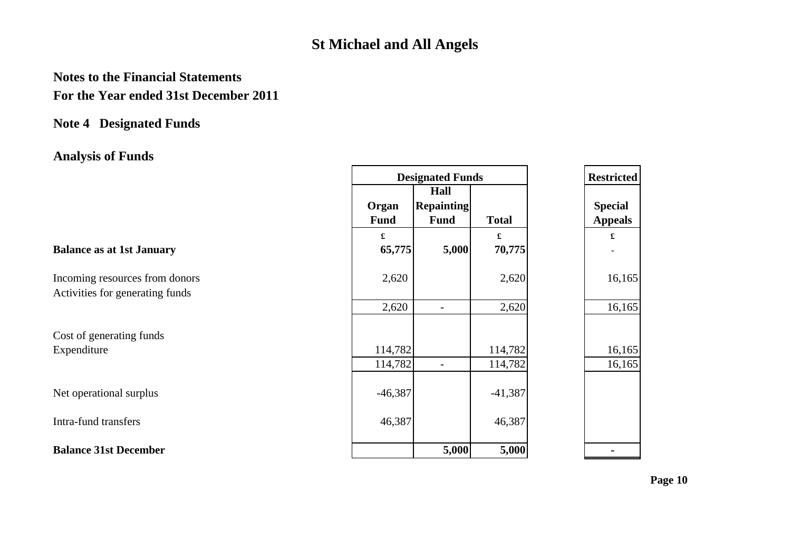## **Notes to the Financial Statements For the Year ended 31st December 2011**

### **Note 4 Designated Funds**

# **Analysis of Funds**

|                                                                   | <b>Designated Funds</b> |                                          |              | <b>Restricted</b>                |
|-------------------------------------------------------------------|-------------------------|------------------------------------------|--------------|----------------------------------|
|                                                                   | Organ<br><b>Fund</b>    | Hall<br><b>Repainting</b><br><b>Fund</b> | <b>Total</b> | <b>Special</b><br><b>Appeals</b> |
| <b>Balance as at 1st January</b>                                  | £<br>65,775             | 5,000                                    | £<br>70,775  | £                                |
| Incoming resources from donors<br>Activities for generating funds | 2,620                   |                                          | 2,620        | 16,165                           |
|                                                                   | 2,620                   | -                                        | 2,620        | 16,165                           |
| Cost of generating funds                                          |                         |                                          |              |                                  |
| Expenditure                                                       | 114,782                 |                                          | 114,782      | 16,165                           |
|                                                                   | 114,782                 | $\overline{\phantom{a}}$                 | 114,782      | 16,165                           |
| Net operational surplus                                           | $-46,387$               |                                          | $-41,387$    |                                  |
| Intra-fund transfers                                              | 46,387                  |                                          | 46,387       |                                  |
| <b>Balance 31st December</b>                                      |                         | 5,000                                    | 5,000        |                                  |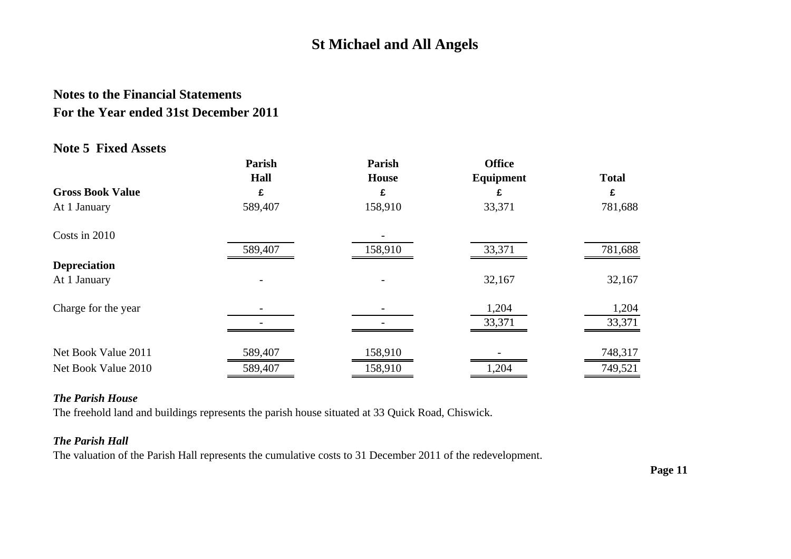## **Notes to the Financial Statements For the Year ended 31st December 2011**

### **Note 5 Fixed Assets**

|                         | Parish  | Parish  | <b>Office</b>    |              |
|-------------------------|---------|---------|------------------|--------------|
|                         | Hall    | House   | <b>Equipment</b> | <b>Total</b> |
| <b>Gross Book Value</b> | £       | £       | £                | £            |
| At 1 January            | 589,407 | 158,910 | 33,371           | 781,688      |
| Costs in 2010           |         |         |                  |              |
|                         | 589,407 | 158,910 | 33,371           | 781,688      |
| <b>Depreciation</b>     |         |         |                  |              |
| At 1 January            |         |         | 32,167           | 32,167       |
| Charge for the year     |         |         | 1,204            | 1,204        |
|                         |         |         | 33,371           | 33,371       |
| Net Book Value 2011     | 589,407 | 158,910 |                  | 748,317      |
| Net Book Value 2010     | 589,407 | 158,910 | 1,204            | 749,521      |

#### *The Parish House*

The freehold land and buildings represents the parish house situated at 33 Quick Road, Chiswick.

### *The Parish Hall*

The valuation of the Parish Hall represents the cumulative costs to 31 December 2011 of the redevelopment.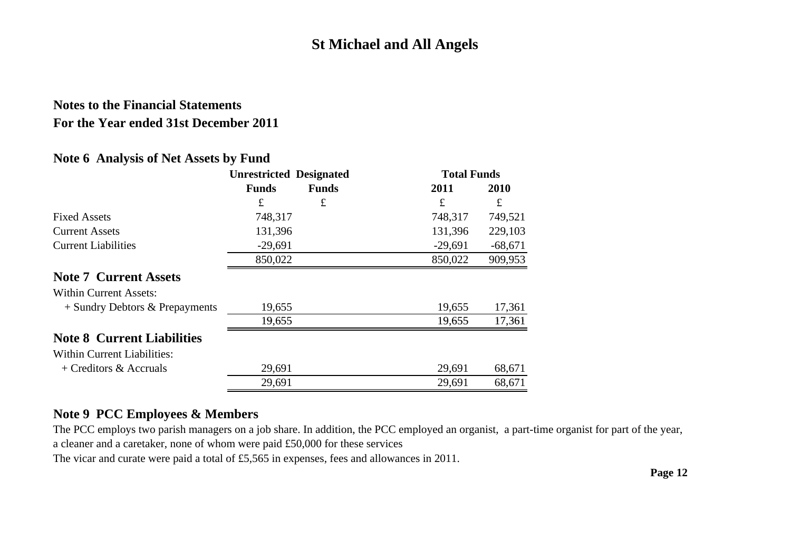## **Notes to the Financial Statements For the Year ended 31st December 2011**

### **Note 6 Analysis of Net Assets by Fund**

|                                    | <b>Unrestricted Designated</b> |              | <b>Total Funds</b> |           |
|------------------------------------|--------------------------------|--------------|--------------------|-----------|
|                                    | <b>Funds</b>                   | <b>Funds</b> | 2011               | 2010      |
|                                    | £                              | £            | £                  | £         |
| <b>Fixed Assets</b>                | 748,317                        |              | 748,317            | 749,521   |
| <b>Current Assets</b>              | 131,396                        |              | 131,396            | 229,103   |
| <b>Current Liabilities</b>         | $-29,691$                      |              | $-29,691$          | $-68,671$ |
|                                    | 850,022                        |              | 850,022            | 909,953   |
| <b>Note 7 Current Assets</b>       |                                |              |                    |           |
| <b>Within Current Assets:</b>      |                                |              |                    |           |
| $+$ Sundry Debtors & Prepayments   | 19,655                         |              | 19,655             | 17,361    |
|                                    | 19,655                         |              | 19,655             | 17,361    |
| <b>Note 8 Current Liabilities</b>  |                                |              |                    |           |
| <b>Within Current Liabilities:</b> |                                |              |                    |           |
| $+$ Creditors & Accruals           | 29,691                         |              | 29,691             | 68,671    |
|                                    | 29,691                         |              | 29,691             | 68,671    |

### **Note 9 PCC Employees & Members**

The PCC employs two parish managers on a job share. In addition, the PCC employed an organist, a part-time organist for part of the year, a cleaner and a caretaker, none of whom were paid £50,000 for these services

The vicar and curate were paid a total of £5,565 in expenses, fees and allowances in 2011.